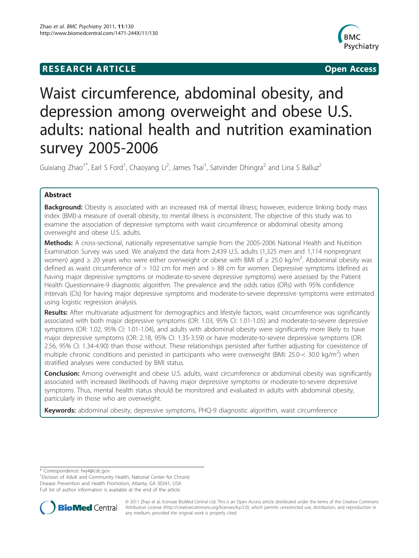# **RESEARCH ARTICLE Example 2014 CONSUMING ACCESS**



# Waist circumference, abdominal obesity, and depression among overweight and obese U.S. adults: national health and nutrition examination survey 2005-2006

Guixiang Zhao<sup>1\*</sup>, Earl S Ford<sup>1</sup>, Chaoyang Li<sup>2</sup>, James Tsai<sup>1</sup>, Satvinder Dhingra<sup>2</sup> and Lina S Balluz<sup>2</sup>

# Abstract

Background: Obesity is associated with an increased risk of mental illness; however, evidence linking body mass index (BMI)-a measure of overall obesity, to mental illness is inconsistent. The objective of this study was to examine the association of depressive symptoms with waist circumference or abdominal obesity among overweight and obese U.S. adults.

Methods: A cross-sectional, nationally representative sample from the 2005-2006 National Health and Nutrition Examination Survey was used. We analyzed the data from 2,439 U.S. adults (1,325 men and 1,114 nonpregnant women) aged  $\geq 20$  years who were either overweight or obese with BMI of  $\geq 25.0$  kg/m<sup>2</sup>. Abdominal obesity was defined as waist circumference of > 102 cm for men and > 88 cm for women. Depressive symptoms (defined as having major depressive symptoms or moderate-to-severe depressive symptoms) were assessed by the Patient Health Questionnaire-9 diagnostic algorithm. The prevalence and the odds ratios (ORs) with 95% confidence intervals (CIs) for having major depressive symptoms and moderate-to-severe depressive symptoms were estimated using logistic regression analysis.

Results: After multivariate adjustment for demographics and lifestyle factors, waist circumference was significantly associated with both major depressive symptoms (OR: 1.03, 95% CI: 1.01-1.05) and moderate-to-severe depressive symptoms (OR: 1.02, 95% CI: 1.01-1.04), and adults with abdominal obesity were significantly more likely to have major depressive symptoms (OR: 2.18, 95% CI: 1.35-3.59) or have moderate-to-severe depressive symptoms (OR: 2.56, 95% CI: 1.34-4.90) than those without. These relationships persisted after further adjusting for coexistence of multiple chronic conditions and persisted in participants who were overweight (BMI: 25.0-< 30.0 kg/m<sup>2</sup>) when stratified analyses were conducted by BMI status.

**Conclusion:** Among overweight and obese U.S. adults, waist circumference or abdominal obesity was significantly associated with increased likelihoods of having major depressive symptoms or moderate-to-severe depressive symptoms. Thus, mental health status should be monitored and evaluated in adults with abdominal obesity, particularly in those who are overweight.

Keywords: abdominal obesity, depressive symptoms, PHQ-9 diagnostic algorithm, waist circumference

<sup>&</sup>lt;sup>1</sup> Division of Adult and Community Health, National Center for Chronic Disease Prevention and Health Promotion, Atlanta, GA 30341, USA Full list of author information is available at the end of the article



© 2011 Zhao et al; licensee BioMed Central Ltd. This is an Open Access article distributed under the terms of the Creative Commons Attribution License [\(http://creativecommons.org/licenses/by/2.0](http://creativecommons.org/licenses/by/2.0)), which permits unrestricted use, distribution, and reproduction in any medium, provided the original work is properly cited.

<sup>\*</sup> Correspondence: [fwj4@cdc.gov](mailto:fwj4@cdc.gov)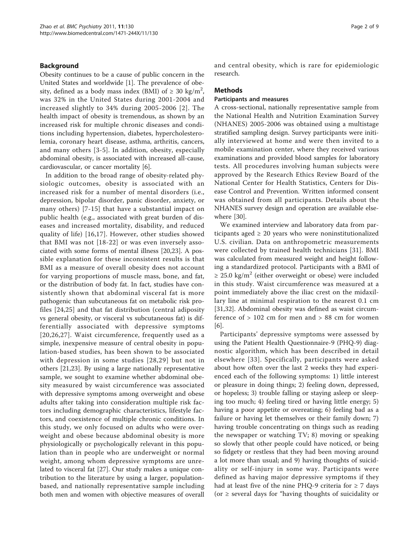# Background

Obesity continues to be a cause of public concern in the United States and worldwide [[1\]](#page-7-0). The prevalence of obesity, defined as a body mass index (BMI) of  $\geq 30$  kg/m<sup>2</sup>, was 32% in the United States during 2001-2004 and increased slightly to 34% during 2005-2006 [\[2\]](#page-7-0). The health impact of obesity is tremendous, as shown by an increased risk for multiple chronic diseases and conditions including hypertension, diabetes, hypercholesterolemia, coronary heart disease, asthma, arthritis, cancers, and many others [\[3-5\]](#page-7-0). In addition, obesity, especially abdominal obesity, is associated with increased all-cause, cardiovascular, or cancer mortality [\[6](#page-7-0)].

In addition to the broad range of obesity-related physiologic outcomes, obesity is associated with an increased risk for a number of mental disorders (i.e., depression, bipolar disorder, panic disorder, anxiety, or many others) [\[7-15](#page-7-0)] that have a substantial impact on public health (e.g., associated with great burden of diseases and increased mortality, disability, and reduced quality of life) [\[16,17](#page-7-0)]. However, other studies showed that BMI was not [[18-](#page-7-0)[22](#page-8-0)] or was even inversely associated with some forms of mental illness [[20,](#page-7-0)[23\]](#page-8-0). A possible explanation for these inconsistent results is that BMI as a measure of overall obesity does not account for varying proportions of muscle mass, bone, and fat, or the distribution of body fat. In fact, studies have consistently shown that abdominal visceral fat is more pathogenic than subcutaneous fat on metabolic risk profiles [[24,25](#page-8-0)] and that fat distribution (central adiposity vs general obesity, or visceral vs subcutaneous fat) is differentially associated with depressive symptoms [[20,](#page-7-0)[26](#page-8-0),[27](#page-8-0)]. Waist circumference, frequently used as a simple, inexpensive measure of central obesity in population-based studies, has been shown to be associated with depression in some studies [[28](#page-8-0),[29](#page-8-0)] but not in others [[21,23\]](#page-8-0). By using a large nationally representative sample, we sought to examine whether abdominal obesity measured by waist circumference was associated with depressive symptoms among overweight and obese adults after taking into consideration multiple risk factors including demographic characteristics, lifestyle factors, and coexistence of multiple chronic conditions. In this study, we only focused on adults who were overweight and obese because abdominal obesity is more physiologically or psychologically relevant in this population than in people who are underweight or normal weight, among whom depressive symptoms are unrelated to visceral fat [\[27\]](#page-8-0). Our study makes a unique contribution to the literature by using a larger, populationbased, and nationally representative sample including both men and women with objective measures of overall and central obesity, which is rare for epidemiologic research.

#### Methods

# Participants and measures

A cross-sectional, nationally representative sample from the National Health and Nutrition Examination Survey (NHANES) 2005-2006 was obtained using a multistage stratified sampling design. Survey participants were initially interviewed at home and were then invited to a mobile examination center, where they received various examinations and provided blood samples for laboratory tests. All procedures involving human subjects were approved by the Research Ethics Review Board of the National Center for Health Statistics, Centers for Disease Control and Prevention. Written informed consent was obtained from all participants. Details about the NHANES survey design and operation are available elsewhere [[30](#page-8-0)].

We examined interview and laboratory data from participants aged  $\geq 20$  years who were noninstitutionalized U.S. civilian. Data on anthropometric measurements were collected by trained health technicians [[31\]](#page-8-0). BMI was calculated from measured weight and height following a standardized protocol. Participants with a BMI of  $\geq$  25.0 kg/m<sup>2</sup> (either overweight or obese) were included in this study. Waist circumference was measured at a point immediately above the iliac crest on the midaxillary line at minimal respiration to the nearest 0.1 cm [[31,32\]](#page-8-0). Abdominal obesity was defined as waist circumference of  $> 102$  cm for men and  $> 88$  cm for women [[6\]](#page-7-0).

Participants' depressive symptoms were assessed by using the Patient Health Questionnaire-9 (PHQ-9) diagnostic algorithm, which has been described in detail elsewhere [[33](#page-8-0)]. Specifically, participants were asked about how often over the last 2 weeks they had experienced each of the following symptoms: 1) little interest or pleasure in doing things; 2) feeling down, depressed, or hopeless; 3) trouble falling or staying asleep or sleeping too much; 4) feeling tired or having little energy; 5) having a poor appetite or overeating; 6) feeling bad as a failure or having let themselves or their family down; 7) having trouble concentrating on things such as reading the newspaper or watching TV; 8) moving or speaking so slowly that other people could have noticed, or being so fidgety or restless that they had been moving around a lot more than usual; and 9) having thoughts of suicidality or self-injury in some way. Participants were defined as having major depressive symptoms if they had at least five of the nine PHQ-9 criteria for  $\geq 7$  days (or ≥ several days for "having thoughts of suicidality or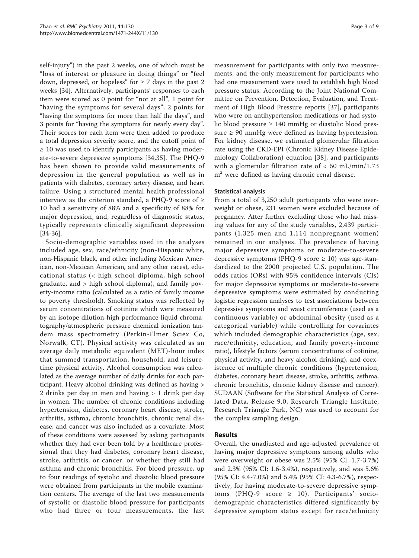self-injury") in the past 2 weeks, one of which must be "loss of interest or pleasure in doing things" or "feel down, depressed, or hopeless" for  $\geq 7$  days in the past 2 weeks [[34](#page-8-0)]. Alternatively, participants' responses to each item were scored as 0 point for "not at all", 1 point for "having the symptoms for several days", 2 points for "having the symptoms for more than half the days", and 3 points for "having the symptoms for nearly every day". Their scores for each item were then added to produce a total depression severity score, and the cutoff point of  $\geq$  10 was used to identify participants as having moderate-to-severe depressive symptoms [[34,35](#page-8-0)]. The PHQ-9 has been shown to provide valid measurements of depression in the general population as well as in patients with diabetes, coronary artery disease, and heart failure. Using a structured mental health professional interview as the criterion standard, a PHQ-9 score of  $\geq$ 10 had a sensitivity of 88% and a specificity of 88% for major depression, and, regardless of diagnostic status, typically represents clinically significant depression [[34-36\]](#page-8-0).

Socio-demographic variables used in the analyses included age, sex, race/ethnicity (non-Hispanic white, non-Hispanic black, and other including Mexican American, non-Mexican American, and any other races), educational status (< high school diploma, high school graduate, and > high school diploma), and family poverty-income ratio (calculated as a ratio of family income to poverty threshold). Smoking status was reflected by serum concentrations of cotinine which were measured by an isotope dilution-high performance liquid chromatography/atmospheric pressure chemical ionization tandem mass spectrometry (Perkin-Elmer Sciex Co, Norwalk, CT). Physical activity was calculated as an average daily metabolic equivalent (MET)-hour index that summed transportation, household, and leisuretime physical activity. Alcohol consumption was calculated as the average number of daily drinks for each participant. Heavy alcohol drinking was defined as having > 2 drinks per day in men and having > 1 drink per day in women. The number of chronic conditions including hypertension, diabetes, coronary heart disease, stroke, arthritis, asthma, chronic bronchitis, chronic renal disease, and cancer was also included as a covariate. Most of these conditions were assessed by asking participants whether they had ever been told by a healthcare professional that they had diabetes, coronary heart disease, stroke, arthritis, or cancer, or whether they still had asthma and chronic bronchitis. For blood pressure, up to four readings of systolic and diastolic blood pressure were obtained from participants in the mobile examination centers. The average of the last two measurements of systolic or diastolic blood pressure for participants who had three or four measurements, the last measurement for participants with only two measurements, and the only measurement for participants who had one measurement were used to establish high blood pressure status. According to the Joint National Committee on Prevention, Detection, Evaluation, and Treatment of High Blood Pressure reports [[37\]](#page-8-0), participants who were on antihypertension medications or had systolic blood pressure  $\geq 140$  mmHg or diastolic blood pressure  $\geq 90$  mmHg were defined as having hypertension. For kidney disease, we estimated glomerular filtration rate using the CKD-EPI (Chronic Kidney Disease Epidemiology Collaboration) equation [\[38\]](#page-8-0), and participants with a glomerular filtration rate of  $< 60$  mL/min/1.73  $m<sup>2</sup>$  were defined as having chronic renal disease.

# Statistical analysis

From a total of 3,250 adult participants who were overweight or obese, 231 women were excluded because of pregnancy. After further excluding those who had missing values for any of the study variables, 2,439 participants (1,325 men and 1,114 nonpregnant women) remained in our analyses. The prevalence of having major depressive symptoms or moderate-to-severe depressive symptoms (PHQ-9 score  $\geq$  10) was age-standardized to the 2000 projected U.S. population. The odds ratios (ORs) with 95% confidence intervals (CIs) for major depressive symptoms or moderate-to-severe depressive symptoms were estimated by conducting logistic regression analyses to test associations between depressive symptoms and waist circumference (used as a continuous variable) or abdominal obesity (used as a categorical variable) while controlling for covariates which included demographic characteristics (age, sex, race/ethnicity, education, and family poverty-income ratio), lifestyle factors (serum concentrations of cotinine, physical activity, and heavy alcohol drinking), and coexistence of multiple chronic conditions (hypertension, diabetes, coronary heart disease, stroke, arthritis, asthma, chronic bronchitis, chronic kidney disease and cancer). SUDAAN (Software for the Statistical Analysis of Correlated Data, Release 9.0, Research Triangle Institute, Research Triangle Park, NC) was used to account for the complex sampling design.

# Results

Overall, the unadjusted and age-adjusted prevalence of having major depressive symptoms among adults who were overweight or obese was 2.5% (95% CI: 1.7-3.7%) and 2.3% (95% CI: 1.6-3.4%), respectively, and was 5.6% (95% CI: 4.4-7.0%) and 5.4% (95% CI: 4.3-6.7%), respectively, for having moderate-to-severe depressive symptoms (PHQ-9 score  $\geq$  10). Participants' sociodemographic characteristics differed significantly by depressive symptom status except for race/ethnicity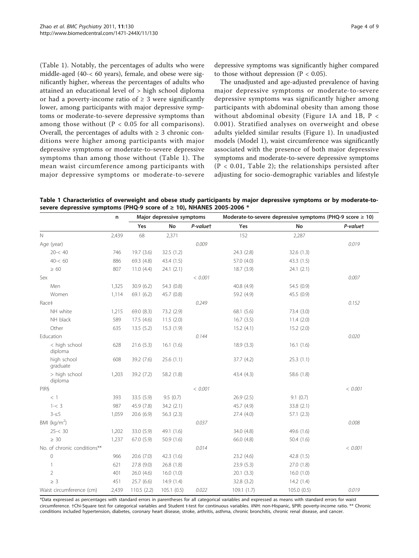(Table 1). Notably, the percentages of adults who were middle-aged (40-< 60 years), female, and obese were significantly higher, whereas the percentages of adults who attained an educational level of > high school diploma or had a poverty-income ratio of  $\geq 3$  were significantly lower, among participants with major depressive symptoms or moderate-to-severe depressive symptoms than among those without ( $P < 0.05$  for all comparisons). Overall, the percentages of adults with  $\geq$  3 chronic conditions were higher among participants with major depressive symptoms or moderate-to-severe depressive symptoms than among those without (Table 1). The mean waist circumference among participants with major depressive symptoms or moderate-to-severe

depressive symptoms was significantly higher compared to those without depression ( $P < 0.05$ ).

The unadjusted and age-adjusted prevalence of having major depressive symptoms or moderate-to-severe depressive symptoms was significantly higher among participants with abdominal obesity than among those without abdominal obesity (Figure [1A](#page-4-0) and [1B](#page-4-0), P < 0.001). Stratified analyses on overweight and obese adults yielded similar results (Figure [1](#page-4-0)). In unadjusted models (Model 1), waist circumference was significantly associated with the presence of both major depressive symptoms and moderate-to-severe depressive symptoms (P < 0.01, Table [2](#page-5-0)); the relationships persisted after adjusting for socio-demographic variables and lifestyle

Table 1 Characteristics of overweight and obese study participants by major depressive symptoms or by moderate-tosevere depressive symptoms (PHQ-9 score of ≥ 10), NHANES 2005-2006 \*

|                             | n     | Major depressive symptoms |              | Moderate-to-severe depressive symptoms (PHQ-9 score $\geq$ 10) |            |            |          |
|-----------------------------|-------|---------------------------|--------------|----------------------------------------------------------------|------------|------------|----------|
|                             |       | Yes                       | No           | P-valuet                                                       | Yes        | No         | P-valuet |
| $\mathbb{N}$                | 2,439 | 68                        | 2,371        |                                                                | 152        | 2,287      |          |
| Age (year)                  |       |                           |              | 0.009                                                          |            |            | 0.019    |
| $20 - < 40$                 | 746   | 19.7(3.6)                 | 32.5 (1.2)   |                                                                | 24.3 (2.8) | 32.6 (1.3) |          |
| $40 - 60$                   | 886   | 69.3 (4.8)                | 43.4 (1.5)   |                                                                | 57.0 (4.0) | 43.3 (1.5) |          |
| $\geq 60$                   | 807   | 11.0(4.4)                 | 24.1(2.1)    |                                                                | 18.7(3.9)  | 24.1(2.1)  |          |
| Sex                         |       |                           |              | < 0.001                                                        |            |            | 0.007    |
| Men                         | 1,325 | 30.9(6.2)                 | 54.3 (0.8)   |                                                                | 40.8 (4.9) | 54.5 (0.9) |          |
| Women                       | 1,114 | 69.1(6.2)                 | 45.7 (0.8)   |                                                                | 59.2 (4.9) | 45.5 (0.9) |          |
| Race‡                       |       |                           |              | 0.249                                                          |            |            | 0.152    |
| NH white                    | 1,215 | 69.0 (8.3)                | 73.2 (2.9)   |                                                                | 68.1 (5.6) | 73.4 (3.0) |          |
| NH black                    | 589   | 17.5(4.6)                 | 11.5(2.0)    |                                                                | 16.7(3.5)  | 11.4(2.0)  |          |
| Other                       | 635   | 13.5(5.2)                 | 15.3(1.9)    |                                                                | 15.2(4.1)  | 15.2(2.0)  |          |
| Education                   |       |                           |              | 0.144                                                          |            |            | 0.020    |
| < high school<br>diploma    | 628   | 21.6(5.3)                 | 16.1(1.6)    |                                                                | 18.9(3.3)  | 16.1(1.6)  |          |
| high school<br>graduate     | 608   | 39.2 (7.6)                | 25.6(1.1)    |                                                                | 37.7 (4.2) | 25.3(1.1)  |          |
| > high school<br>diploma    | 1,203 | 39.2 (7.2)                | 58.2 (1.8)   |                                                                | 43.4 (4.3) | 58.6 (1.8) |          |
| PIRS                        |       |                           |              | < 0.001                                                        |            |            | < 0.001  |
| $<$ 1                       | 393   | 33.5 (5.9)                | 9.5(0.7)     |                                                                | 26.9(2.5)  | 9.1(0.7)   |          |
| $1 - < 3$                   | 987   | 45.9 (7.8)                | 34.2(2.1)    |                                                                | 45.7 (4.9) | 33.8(2.1)  |          |
| $3 - 5$                     | 1,059 | 20.6(6.9)                 | 56.3(2.3)    |                                                                | 27.4 (4.0) | 57.1(2.3)  |          |
| BMI $(kq/m2)$               |       |                           |              | 0.037                                                          |            |            | 0.008    |
| $25 - < 30$                 | 1,202 | 33.0 (5.9)                | 49.1 (1.6)   |                                                                | 34.0 (4.8) | 49.6 (1.6) |          |
| $\geq 30$                   | 1,237 | 67.0 (5.9)                | 50.9(1.6)    |                                                                | 66.0 (4.8) | 50.4(1.6)  |          |
| No. of chronic conditions** |       |                           |              | 0.014                                                          |            |            | < 0.001  |
| $\mathbf 0$                 | 966   | 20.6(7.0)                 | 42.3 $(1.6)$ |                                                                | 23.2 (4.6) | 42.8 (1.5) |          |
| 1                           | 621   | 27.8 (9.0)                | 26.8 (1.8)   |                                                                | 23.9(5.3)  | 27.0 (1.8) |          |
| $\overline{2}$              | 401   | 26.0(4.6)                 | 16.0(1.0)    |                                                                | 20.1(3.3)  | 16.0(1.0)  |          |
| $\geq$ 3                    | 451   | 25.7(6.6)                 | 14.9(1.4)    |                                                                | 32.8 (3.2) | 14.2(1.4)  |          |
| Waist circumference (cm)    | 2,439 | 110.5(2.2)                | 105.1(0.5)   | 0.022                                                          | 109.1(1.7) | 105.0(0.5) | 0.019    |

\*Data expressed as percentages with standard errors in parentheses for all categorical variables and expressed as means with standard errors for waist circumference. †Chi-Square test for categorical variables and Student t-test for continuous variables. ‡NH: non-Hispanic, §PIR: poverty-income ratio. \*\* Chronic conditions included hypertension, diabetes, coronary heart disease, stroke, arthritis, asthma, chronic bronchitis, chronic renal disease, and cancer.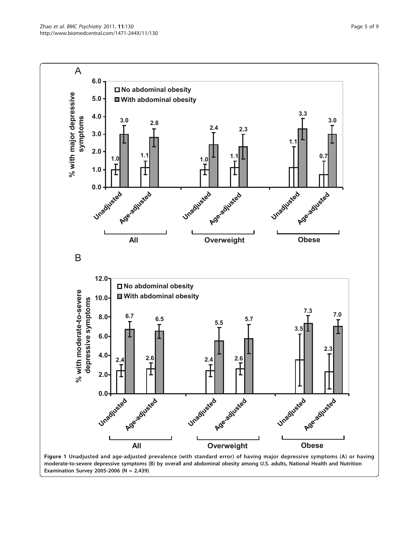<span id="page-4-0"></span>

moderate-to-severe depressive symptoms (B) by overall and abdominal obesity among U.S. adults, National Health and Nutrition Examination Survey 2005-2006 ( $N = 2,439$ ).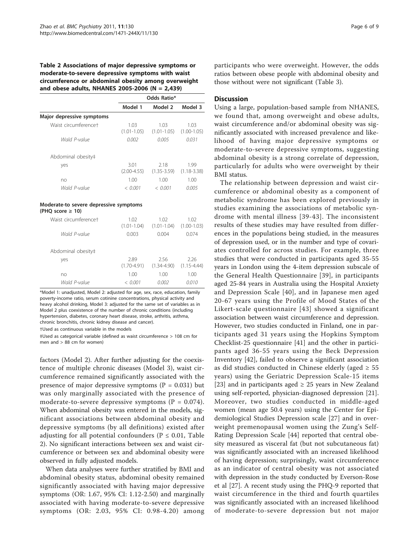## <span id="page-5-0"></span>Table 2 Associations of major depressive symptoms or moderate-to-severe depressive symptoms with waist circumference or abdominal obesity among overweight and obese adults, NHANES 2005-2006 (N = 2,439)

|                           |                         | Odds Ratio*             |                         |
|---------------------------|-------------------------|-------------------------|-------------------------|
|                           | Model 1                 | Model 2                 | Model 3                 |
| Major depressive symptoms |                         |                         |                         |
| Waist circumferencet      | 1.03<br>$(1.01 - 1.05)$ | 1.03<br>$(1.01 - 1.05)$ | 1.03<br>$(1.00 - 1.05)$ |
| Wald P-value              | 0.002                   | 0.005                   | 0.031                   |
| Abdominal obesity‡        |                         |                         |                         |
| yes                       | 3.01<br>$(2.00 - 4.55)$ | 218<br>$(1.35 - 3.59)$  | 1.99<br>$(1.18 - 3.38)$ |
| no                        | 1.00                    | 1.00                    | 1.00                    |
| Wald P-value              | < 0.001                 | < 0.001                 | 0.005                   |

#### Moderate-to severe depressive symptoms (PHO score  $\geq 10$ )

| Waist circumferencet | 1.02<br>$(1.01 - 1.04)$ | 1.02<br>$(1.01 - 1.04)$ | 1.02<br>$(1.00 - 1.03)$ |
|----------------------|-------------------------|-------------------------|-------------------------|
| Wald P-value         | 0.003                   | 0.004                   | 0.074                   |
| Abdominal obesity‡   |                         |                         |                         |
| yes                  | 2.89<br>$(1.70 - 4.91)$ | 2.56<br>$(1.34 - 4.90)$ | 2.26<br>$(1.15 - 4.44)$ |
| no                   | 1.00                    | 1.00                    | 1.00                    |
| Wald P-value         | < 0.001                 | 0.002                   | 0.010                   |

\*Model 1: unadjusted, Model 2: adjusted for age, sex, race, education, family poverty-income ratio, serum cotinine concentrations, physical activity and heavy alcohol drinking, Model 3: adjusted for the same set of variables as in Model 2 plus coexistence of the number of chronic conditions (including hypertension, diabetes, coronary heart disease, stroke, arthritis, asthma, chronic bronchitis, chronic kidney disease and cancer).

†Used as continuous variable in the models

‡Used as categorical variable (defined as waist circumference > 108 cm for men and > 88 cm for women)

factors (Model 2). After further adjusting for the coexistence of multiple chronic diseases (Model 3), waist circumference remained significantly associated with the presence of major depressive symptoms ( $P = 0.031$ ) but was only marginally associated with the presence of moderate-to-severe depressive symptoms ( $P = 0.074$ ). When abdominal obesity was entered in the models, significant associations between abdominal obesity and depressive symptoms (by all definitions) existed after adjusting for all potential confounders ( $P \le 0.01$ , Table 2). No significant interactions between sex and waist circumference or between sex and abdominal obesity were observed in fully adjusted models.

When data analyses were further stratified by BMI and abdominal obesity status, abdominal obesity remained significantly associated with having major depressive symptoms (OR: 1.67, 95% CI: 1.12-2.50) and marginally associated with having moderate-to-severe depressive symptoms (OR: 2.03, 95% CI: 0.98-4.20) among participants who were overweight. However, the odds ratios between obese people with abdominal obesity and those without were not significant (Table [3\)](#page-6-0).

## **Discussion**

Using a large, population-based sample from NHANES, we found that, among overweight and obese adults, waist circumference and/or abdominal obesity was significantly associated with increased prevalence and likelihood of having major depressive symptoms or moderate-to-severe depressive symptoms, suggesting abdominal obesity is a strong correlate of depression, particularly for adults who were overweight by their BMI status.

The relationship between depression and waist circumference or abdominal obesity as a component of metabolic syndrome has been explored previously in studies examining the associations of metabolic syndrome with mental illness [[39-43](#page-8-0)]. The inconsistent results of these studies may have resulted from differences in the populations being studied, in the measures of depression used, or in the number and type of covariates controlled for across studies. For example, three studies that were conducted in participants aged 35-55 years in London using the 4-item depression subscale of the General Health Questionnaire [\[39\]](#page-8-0), in participants aged 25-84 years in Australia using the Hospital Anxiety and Depression Scale [[40](#page-8-0)], and in Japanese men aged 20-67 years using the Profile of Mood States of the Likert-scale questionnaire [[43\]](#page-8-0) showed a significant association between waist circumference and depression. However, two studies conducted in Finland, one in participants aged 31 years using the Hopkins Symptom Checklist-25 questionnaire [[41](#page-8-0)] and the other in participants aged 36-55 years using the Beck Depression Inventory [[42\]](#page-8-0), failed to observe a significant association as did studies conducted in Chinese elderly (aged  $\geq 55$ years) using the Geriatric Depression Scale-15 items [[23\]](#page-8-0) and in participants aged  $\geq$  25 years in New Zealand using self-reported, physician-diagnosed depression [\[21](#page-8-0)]. Moreover, two studies conducted in middle-aged women (mean age 50.4 years) using the Center for Epidemiological Studies Depression scale [\[27](#page-8-0)] and in overweight premenopausal women using the Zung's Self-Rating Depression Scale [[44\]](#page-8-0) reported that central obesity measured as visceral fat (but not subcutaneous fat) was significantly associated with an increased likelihood of having depression; surprisingly, waist circumference as an indicator of central obesity was not associated with depression in the study conducted by Everson-Rose et al [[27\]](#page-8-0). A recent study using the PHQ-9 reported that waist circumference in the third and fourth quartiles was significantly associated with an increased likelihood of moderate-to-severe depression but not major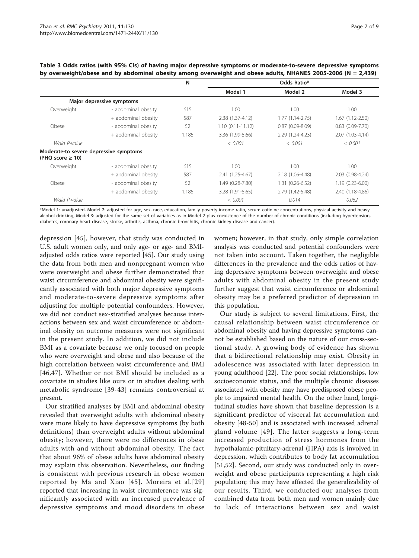|                                                                 |                           | N     | Odds Ratio*          |                     |                        |  |
|-----------------------------------------------------------------|---------------------------|-------|----------------------|---------------------|------------------------|--|
|                                                                 |                           |       | Model 1              | Model 2             | Model 3                |  |
|                                                                 | Major depressive symptoms |       |                      |                     |                        |  |
| Overweight                                                      | - abdominal obesity       | 615   | 1.00                 | 1.00                | 1.00                   |  |
|                                                                 | + abdominal obesity       | 587   | 2.38 (1.37-4.12)     | 1.77 (1.14-2.75)    | $1.67(1.12 - 2.50)$    |  |
| Obese                                                           | - abdominal obesity       | 52    | $1.10(0.11 - 11.12)$ | $0.87(0.09 - 8.09)$ | $0.83$ $(0.09 - 7.70)$ |  |
|                                                                 | + abdominal obesity       | 1,185 | 3.36 (1.99-5.66)     | 2.29 (1.24-4.23)    | $2.07(1.03 - 4.14)$    |  |
| Wald P-value                                                    |                           |       | < 0.001              | < 0.001             | < 0.001                |  |
| Moderate-to severe depressive symptoms<br>(PHQ score $\geq$ 10) |                           |       |                      |                     |                        |  |
| Overweight                                                      | - abdominal obesity       | 615   | 1.00                 | 1.00                | 1.00                   |  |
|                                                                 | + abdominal obesity       | 587   | 2.41 (1.25-4.67)     | 2.18 (1.06-4.48)    | 2.03 (0.98-4.24)       |  |
| Obese                                                           | - abdominal obesity       | 52    | 1.49 (0.28-7.80)     | 1.31 (0.26-6.52)    | $1.19(0.23 - 6.00)$    |  |
|                                                                 | + abdominal obesity       | 1,185 | 3.28 (1.91-5.65)     | 2.79 (1.42-5.48)    | 2.40 (1.18-4.86)       |  |
| Wald P-value                                                    |                           |       | < 0.001              | 0.014               | 0.062                  |  |

<span id="page-6-0"></span>Table 3 Odds ratios (with 95% CIs) of having major depressive symptoms or moderate-to-severe depressive symptoms by overweight/obese and by abdominal obesity among overweight and obese adults, NHANES 2005-2006 (N = 2,439)

\*Model 1: unadjusted, Model 2: adjusted for age, sex, race, education, family poverty-income ratio, serum cotinine concentrations, physical activity and heavy alcohol drinking, Model 3: adjusted for the same set of variables as in Model 2 plus coexistence of the number of chronic conditions (including hypertension, diabetes, coronary heart disease, stroke, arthritis, asthma, chronic bronchitis, chronic kidney disease and cancer).

depression [[45\]](#page-8-0), however, that study was conducted in U.S. adult women only, and only age- or age- and BMIadjusted odds ratios were reported [[45](#page-8-0)]. Our study using the data from both men and nonpregnant women who were overweight and obese further demonstrated that waist circumference and abdominal obesity were significantly associated with both major depressive symptoms and moderate-to-severe depressive symptoms after adjusting for multiple potential confounders. However, we did not conduct sex-stratified analyses because interactions between sex and waist circumference or abdominal obesity on outcome measures were not significant in the present study. In addition, we did not include BMI as a covariate because we only focused on people who were overweight and obese and also because of the high correlation between waist circumference and BMI [[46](#page-8-0),[47](#page-8-0)]. Whether or not BMI should be included as a covariate in studies like ours or in studies dealing with metabolic syndrome [[39-43](#page-8-0)] remains controversial at present.

Our stratified analyses by BMI and abdominal obesity revealed that overweight adults with abdominal obesity were more likely to have depressive symptoms (by both definitions) than overweight adults without abdominal obesity; however, there were no differences in obese adults with and without abdominal obesity. The fact that about 96% of obese adults have abdominal obesity may explain this observation. Nevertheless, our finding is consistent with previous research in obese women reported by Ma and Xiao [[45\]](#page-8-0). Moreira et al.[[29](#page-8-0)] reported that increasing in waist circumference was significantly associated with an increased prevalence of depressive symptoms and mood disorders in obese

women; however, in that study, only simple correlation analysis was conducted and potential confounders were not taken into account. Taken together, the negligible differences in the prevalence and the odds ratios of having depressive symptoms between overweight and obese adults with abdominal obesity in the present study further suggest that waist circumference or abdominal obesity may be a preferred predictor of depression in this population.

Our study is subject to several limitations. First, the causal relationship between waist circumference or abdominal obesity and having depressive symptoms cannot be established based on the nature of our cross-sectional study. A growing body of evidence has shown that a bidirectional relationship may exist. Obesity in adolescence was associated with later depression in young adulthood [[22](#page-8-0)]. The poor social relationships, low socioeconomic status, and the multiple chronic diseases associated with obesity may have predisposed obese people to impaired mental health. On the other hand, longitudinal studies have shown that baseline depression is a significant predictor of visceral fat accumulation and obesity [\[48](#page-8-0)-[50\]](#page-8-0) and is associated with increased adrenal gland volume [[49](#page-8-0)]. The latter suggests a long-term increased production of stress hormones from the hypothalamic-pituitary-adrenal (HPA) axis is involved in depression, which contributes to body fat accumulation [[51,52](#page-8-0)]. Second, our study was conducted only in overweight and obese participants representing a high risk population; this may have affected the generalizability of our results. Third, we conducted our analyses from combined data from both men and women mainly due to lack of interactions between sex and waist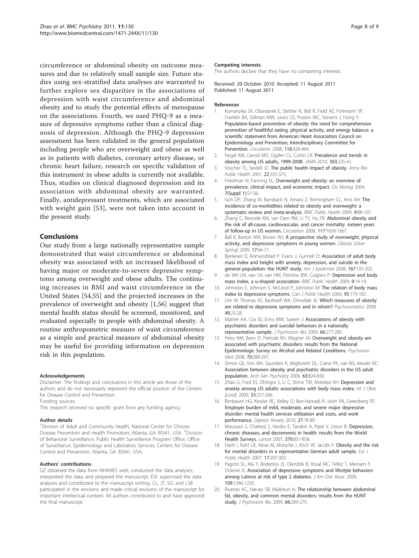<span id="page-7-0"></span>circumference or abdominal obesity on outcome measures and due to relatively small sample size. Future studies using sex-stratified data analyses are warranted to further explore sex disparities in the associations of depression with waist circumference and abdominal obesity and to study the potential effects of menopause on the associations. Fourth, we used PHQ-9 as a measure of depressive symptoms rather than a clinical diagnosis of depression. Although the PHQ-9 depression assessment has been validated in the general population including people who are overweight and obese as well as in patients with diabetes, coronary artery disease, or chronic heart failure, research on specific validation of this instrument in obese adults is currently not available. Thus, studies on clinical diagnosed depression and its association with abdominal obesity are warranted. Finally, antidepressant treatments, which are associated with weight gain [[53](#page-8-0)], were not taken into account in the present study.

# Conclusions

Our study from a large nationally representative sample demonstrated that waist circumference or abdominal obesity was associated with an increased likelihood of having major or moderate-to-severe depressive symptoms among overweight and obese adults. The continuing increases in BMI and waist circumference in the United States [\[54](#page-8-0),[55\]](#page-8-0) and the projected increases in the prevalence of overweight and obesity [1,[56](#page-8-0)] suggest that mental health status should be screened, monitored, and evaluated especially in people with abdominal obesity. A routine anthropometric measure of waist circumference as a simple and practical measure of abdominal obesity may be useful for providing information on depression risk in this population.

#### Acknowledgements

Disclaimer: The findings and conclusions in this article are those of the authors and do not necessarily represent the official position of the Centers for Disease Control and Prevention.

Funding sources

This research received no specific grant from any funding agency.

#### Author details

<sup>1</sup> Division of Adult and Community Health, National Center for Chronic Disease Prevention and Health Promotion, Atlanta, GA 30341, USA. <sup>2</sup>Division of Behavioral Surveillance, Public Health Surveillance Program Office, Office of Surveillance, Epidemiology and Laboratory Services, Centers for Disease Control and Prevention, Atlanta, GA 30341, USA.

#### Authors' contributions

GZ obtained the data from NHANES web, conducted the data analyses, interpreted the data, and prepared the manuscript. ESF supervised the data analyses and contributed to the manuscript writing. CL, JT, SD, and LSB participated in the revisions and made critical revisions of the manuscript for important intellectual content. All authors contributed to and have approved the final manuscript.

#### Competing interests

The authors declare that they have no competing interests.

Received: 20 October 2010 Accepted: 11 August 2011 Published: 11 August 2011

#### References

- 1. Kumanyika SK, Obarzanek E, Stettler N, Bell R, Field AE, Fortmann SP, Franklin BA, Gillman MW, Lewis CE, Poston WC, Stevens J, Hong Y: [Population-based prevention of obesity: the need for comprehensive](http://www.ncbi.nlm.nih.gov/pubmed/18591433?dopt=Abstract) [promotion of healthful eating, physical activity, and energy balance: a](http://www.ncbi.nlm.nih.gov/pubmed/18591433?dopt=Abstract) [scientific statement from American Heart Association Council on](http://www.ncbi.nlm.nih.gov/pubmed/18591433?dopt=Abstract) [Epidemiology and Prevention, Interdisciplinary Committee for](http://www.ncbi.nlm.nih.gov/pubmed/18591433?dopt=Abstract) [Prevention.](http://www.ncbi.nlm.nih.gov/pubmed/18591433?dopt=Abstract) Circulation 2008, 118:428-464.
- 2. Flegal KM, Carroll MD, Ogden CL, Curtin LR: [Prevalence and trends in](http://www.ncbi.nlm.nih.gov/pubmed/20071471?dopt=Abstract) [obesity among US adults, 1999-2008.](http://www.ncbi.nlm.nih.gov/pubmed/20071471?dopt=Abstract) JAMA 2010, 303:235-41.
- 3. Visscher TL, Seidell JC: [The public health impact of obesity.](http://www.ncbi.nlm.nih.gov/pubmed/11274526?dopt=Abstract) Annu Rev Public Health 2001, 22:355-375.
- 4. Friedman N, Fanning EL: [Overweight and obesity: an overview of](http://www.ncbi.nlm.nih.gov/pubmed/15669572?dopt=Abstract) [prevalence, clinical impact, and economic impact.](http://www.ncbi.nlm.nih.gov/pubmed/15669572?dopt=Abstract) Dis Manag 2004, 7(Suppl 1):S1-S6.
- 5. Guh DP, Zhang W, Bansback N, Amarsi Z, Birmingham CL, Anis AH: [The](http://www.ncbi.nlm.nih.gov/pubmed/19320986?dopt=Abstract) [incidence of co-morbidities related to obesity and overweight: a](http://www.ncbi.nlm.nih.gov/pubmed/19320986?dopt=Abstract) [systematic review and meta-analysis.](http://www.ncbi.nlm.nih.gov/pubmed/19320986?dopt=Abstract) BMC Public Health 2009, 9:88-107.
- Zhang C, Rexrode KM, van Dam RM, Li TY, Hu FB: [Abdominal obesity and](http://www.ncbi.nlm.nih.gov/pubmed/18362231?dopt=Abstract) [the risk of all-cause, cardiovascular, and cancer mortality: sixteen years](http://www.ncbi.nlm.nih.gov/pubmed/18362231?dopt=Abstract) [of follow-up in US women.](http://www.ncbi.nlm.nih.gov/pubmed/18362231?dopt=Abstract) Circulation 2008, 117:1658-1667.
- 7. Ball K, Burton NW, Brown WJ: A prospective study of overweight, physical activity, and depressive symptoms in young women. Obesity (Silver Spring) 2009, 17:66-71.
- Bjerkeset O, Romundstad P, Evans J, Gunnell D: [Association of adult body](http://www.ncbi.nlm.nih.gov/pubmed/17981889?dopt=Abstract) [mass index and height with anxiety, depression, and suicide in the](http://www.ncbi.nlm.nih.gov/pubmed/17981889?dopt=Abstract) [general population: the HUNT study.](http://www.ncbi.nlm.nih.gov/pubmed/17981889?dopt=Abstract) Am J Epidemiol 2008, 167:193-202.
- 9. de Wit LM, van SA, van HM, Penninx BW, Cuijpers P: [Depression and body](http://www.ncbi.nlm.nih.gov/pubmed/19144098?dopt=Abstract) [mass index, a u-shaped association.](http://www.ncbi.nlm.nih.gov/pubmed/19144098?dopt=Abstract) BMC Public Health 2009, 9:14-19.
- 10. Johnston E, Johnson S, McLeod P, Johnston M: [The relation of body mass](http://www.ncbi.nlm.nih.gov/pubmed/15191118?dopt=Abstract) [index to depressive symptoms.](http://www.ncbi.nlm.nih.gov/pubmed/15191118?dopt=Abstract) Can J Public Health 2004, 95:179-183.
- 11. Lim W, Thomas KS, Bardwell WA, Dimsdale JE: [Which measures of obesity](http://www.ncbi.nlm.nih.gov/pubmed/18212172?dopt=Abstract) [are related to depressive symptoms and in whom?](http://www.ncbi.nlm.nih.gov/pubmed/18212172?dopt=Abstract) Psychosomatics 2008, 49:23-28.
- 12. Mather AA, Cox BJ, Enns MW, Sareen J: [Associations of obesity with](http://www.ncbi.nlm.nih.gov/pubmed/19302884?dopt=Abstract) [psychiatric disorders and suicidal behaviors in a nationally](http://www.ncbi.nlm.nih.gov/pubmed/19302884?dopt=Abstract) [representative sample.](http://www.ncbi.nlm.nih.gov/pubmed/19302884?dopt=Abstract) J Psychosom Res 2009, 66:277-285.
- 13. Petry NM, Barry D, Pietrzak RH, Wagner JA: [Overweight and obesity are](http://www.ncbi.nlm.nih.gov/pubmed/18378873?dopt=Abstract) [associated with psychiatric disorders: results from the National](http://www.ncbi.nlm.nih.gov/pubmed/18378873?dopt=Abstract) [Epidemiologic Survey on Alcohol and Related Conditions.](http://www.ncbi.nlm.nih.gov/pubmed/18378873?dopt=Abstract) Psychosom Med 2008, 70:288-297.
- 14. Simon GE, Von KM, Saunders K, Miglioretti DL, Crane PK, van BG, Kessler RC: [Association between obesity and psychiatric disorders in the US adult](http://www.ncbi.nlm.nih.gov/pubmed/16818872?dopt=Abstract) [population.](http://www.ncbi.nlm.nih.gov/pubmed/16818872?dopt=Abstract) Arch Gen Psychiatry 2006, 63:824-830.
- 15. Zhao G, Ford ES, Dhingra S, Li C, Strine TW, Mokdad AH: Depression and anxiety among US adults: associations with body mass index. Int J Obes (Lond) 2009, 33:257-266.
- 16. Birnbaum HG, Kessler RC, Kelley D, Ben-Hamadi R, Joish VN, Greenberg PE: [Employer burden of mild, moderate, and severe major depressive](http://www.ncbi.nlm.nih.gov/pubmed/19569060?dopt=Abstract) [disorder: mental health services utilization and costs, and work](http://www.ncbi.nlm.nih.gov/pubmed/19569060?dopt=Abstract) [performance.](http://www.ncbi.nlm.nih.gov/pubmed/19569060?dopt=Abstract) Depress Anxiety 2010, 27:78-89.
- 17. Moussavi S, Chatterji S, Verdes E, Tandon A, Patel V, Ustun B: [Depression,](http://www.ncbi.nlm.nih.gov/pubmed/17826170?dopt=Abstract) [chronic diseases, and decrements in health: results from the World](http://www.ncbi.nlm.nih.gov/pubmed/17826170?dopt=Abstract) [Health Surveys.](http://www.ncbi.nlm.nih.gov/pubmed/17826170?dopt=Abstract) Lancet 2007, 370:851-858.
- 18. Hach I, Ruhl UE, Klose M, Klotsche J, Kirch W, Jacobi F: [Obesity and the risk](http://www.ncbi.nlm.nih.gov/pubmed/16973642?dopt=Abstract) [for mental disorders in a representative German adult sample.](http://www.ncbi.nlm.nih.gov/pubmed/16973642?dopt=Abstract) Eur J Public Health 2007, 17:297-305.
- 19. Pagoto SL, Ma Y, Bodenlos JS, Olendzki B, Rosal MC, Tellez T, Merriam P, Ockene IS: [Association of depressive symptoms and lifestyle behaviors](http://www.ncbi.nlm.nih.gov/pubmed/19559144?dopt=Abstract) [among Latinos at risk of type 2 diabetes.](http://www.ncbi.nlm.nih.gov/pubmed/19559144?dopt=Abstract) J Am Diet Assoc 2009, 109:1246-1250.
- 20. Rivenes AC, Harvey SB, Mykletun A: [The relationship between abdominal](http://www.ncbi.nlm.nih.gov/pubmed/19302883?dopt=Abstract) [fat, obesity, and common mental disorders: results from the HUNT](http://www.ncbi.nlm.nih.gov/pubmed/19302883?dopt=Abstract) [study.](http://www.ncbi.nlm.nih.gov/pubmed/19302883?dopt=Abstract) J Psychosom Res 2009, 66:269-275.